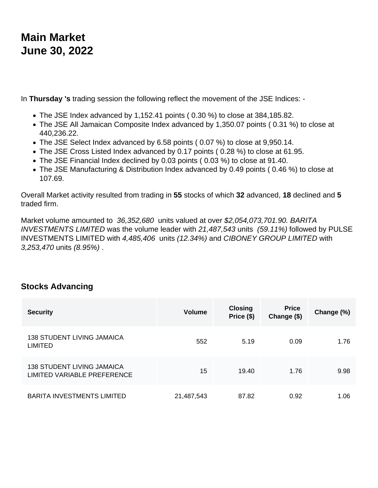## **Main Market June 30, 2022**

In **Thursday 's** trading session the following reflect the movement of the JSE Indices: -

- The JSE Index advanced by 1,152.41 points ( 0.30 %) to close at 384,185.82.
- The JSE All Jamaican Composite Index advanced by 1,350.07 points ( 0.31 %) to close at 440,236.22.
- The JSE Select Index advanced by 6.58 points ( 0.07 %) to close at 9,950.14.
- The JSE Cross Listed Index advanced by 0.17 points ( 0.28 %) to close at 61.95.
- The JSE Financial Index declined by 0.03 points ( 0.03 %) to close at 91.40.
- The JSE Manufacturing & Distribution Index advanced by 0.49 points ( 0.46 %) to close at 107.69.

Overall Market activity resulted from trading in **55** stocks of which **32** advanced, **18** declined and **5**  traded firm.

Market volume amounted to 36,352,680 units valued at over \$2,054,073,701.90. BARITA INVESTMENTS LIMITED was the volume leader with 21,487,543 units (59.11%) followed by PULSE INVESTMENTS LIMITED with 4,485,406 units (12.34%) and CIBONEY GROUP LIMITED with 3,253,470 units (8.95%) .

## **Stocks Advancing**

| <b>Security</b>                                           | <b>Volume</b> | <b>Closing</b><br>Price (\$) | <b>Price</b><br>Change (\$) | Change (%) |
|-----------------------------------------------------------|---------------|------------------------------|-----------------------------|------------|
| <b>138 STUDENT LIVING JAMAICA</b><br><b>LIMITED</b>       | 552           | 5.19                         | 0.09                        | 1.76       |
| 138 STUDENT LIVING JAMAICA<br>LIMITED VARIABLE PREFERENCE | 15            | 19.40                        | 1.76                        | 9.98       |
| <b>BARITA INVESTMENTS LIMITED</b>                         | 21,487,543    | 87.82                        | 0.92                        | 1.06       |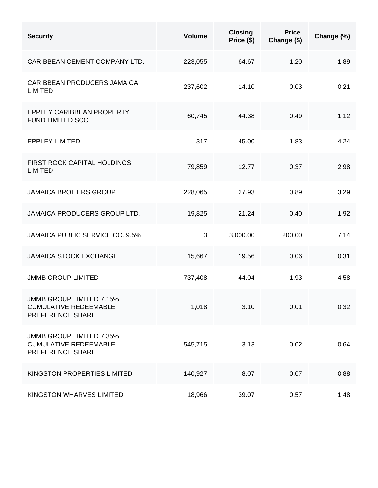| <b>Security</b>                                                                     | <b>Volume</b> | <b>Closing</b><br>Price (\$) | <b>Price</b><br>Change (\$) | Change (%) |
|-------------------------------------------------------------------------------------|---------------|------------------------------|-----------------------------|------------|
| CARIBBEAN CEMENT COMPANY LTD.                                                       | 223,055       | 64.67                        | 1.20                        | 1.89       |
| <b>CARIBBEAN PRODUCERS JAMAICA</b><br><b>LIMITED</b>                                | 237,602       | 14.10                        | 0.03                        | 0.21       |
| <b>EPPLEY CARIBBEAN PROPERTY</b><br>FUND LIMITED SCC                                | 60,745        | 44.38                        | 0.49                        | 1.12       |
| <b>EPPLEY LIMITED</b>                                                               | 317           | 45.00                        | 1.83                        | 4.24       |
| FIRST ROCK CAPITAL HOLDINGS<br><b>LIMITED</b>                                       | 79,859        | 12.77                        | 0.37                        | 2.98       |
| <b>JAMAICA BROILERS GROUP</b>                                                       | 228,065       | 27.93                        | 0.89                        | 3.29       |
| JAMAICA PRODUCERS GROUP LTD.                                                        | 19,825        | 21.24                        | 0.40                        | 1.92       |
| <b>JAMAICA PUBLIC SERVICE CO. 9.5%</b>                                              | 3             | 3,000.00                     | 200.00                      | 7.14       |
| <b>JAMAICA STOCK EXCHANGE</b>                                                       | 15,667        | 19.56                        | 0.06                        | 0.31       |
| <b>JMMB GROUP LIMITED</b>                                                           | 737,408       | 44.04                        | 1.93                        | 4.58       |
| <b>JMMB GROUP LIMITED 7.15%</b><br><b>CUMULATIVE REDEEMABLE</b><br>PREFERENCE SHARE | 1,018         | 3.10                         | 0.01                        | 0.32       |
| <b>JMMB GROUP LIMITED 7.35%</b><br><b>CUMULATIVE REDEEMABLE</b><br>PREFERENCE SHARE | 545,715       | 3.13                         | 0.02                        | 0.64       |
| KINGSTON PROPERTIES LIMITED                                                         | 140,927       | 8.07                         | 0.07                        | 0.88       |
| KINGSTON WHARVES LIMITED                                                            | 18,966        | 39.07                        | 0.57                        | 1.48       |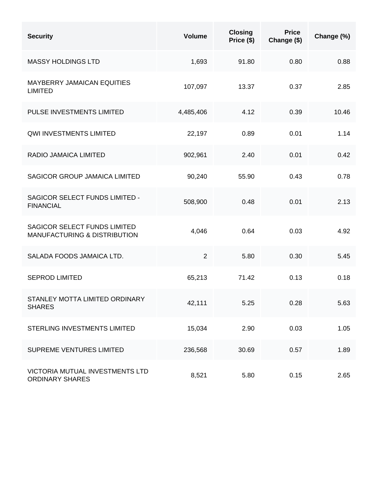| <b>Security</b>                                                                | <b>Volume</b>  | <b>Closing</b><br>Price (\$) | <b>Price</b><br>Change (\$) | Change (%) |
|--------------------------------------------------------------------------------|----------------|------------------------------|-----------------------------|------------|
| <b>MASSY HOLDINGS LTD</b>                                                      | 1,693          | 91.80                        | 0.80                        | 0.88       |
| <b>MAYBERRY JAMAICAN EQUITIES</b><br><b>LIMITED</b>                            | 107,097        | 13.37                        | 0.37                        | 2.85       |
| PULSE INVESTMENTS LIMITED                                                      | 4,485,406      | 4.12                         | 0.39                        | 10.46      |
| <b>QWI INVESTMENTS LIMITED</b>                                                 | 22,197         | 0.89                         | 0.01                        | 1.14       |
| RADIO JAMAICA LIMITED                                                          | 902,961        | 2.40                         | 0.01                        | 0.42       |
| <b>SAGICOR GROUP JAMAICA LIMITED</b>                                           | 90,240         | 55.90                        | 0.43                        | 0.78       |
| SAGICOR SELECT FUNDS LIMITED -<br><b>FINANCIAL</b>                             | 508,900        | 0.48                         | 0.01                        | 2.13       |
| <b>SAGICOR SELECT FUNDS LIMITED</b><br><b>MANUFACTURING &amp; DISTRIBUTION</b> | 4,046          | 0.64                         | 0.03                        | 4.92       |
| SALADA FOODS JAMAICA LTD.                                                      | $\overline{2}$ | 5.80                         | 0.30                        | 5.45       |
| <b>SEPROD LIMITED</b>                                                          | 65,213         | 71.42                        | 0.13                        | 0.18       |
| STANLEY MOTTA LIMITED ORDINARY<br><b>SHARES</b>                                | 42,111         | 5.25                         | 0.28                        | 5.63       |
| STERLING INVESTMENTS LIMITED                                                   | 15,034         | 2.90                         | 0.03                        | 1.05       |
| SUPREME VENTURES LIMITED                                                       | 236,568        | 30.69                        | 0.57                        | 1.89       |
| VICTORIA MUTUAL INVESTMENTS LTD<br><b>ORDINARY SHARES</b>                      | 8,521          | 5.80                         | 0.15                        | 2.65       |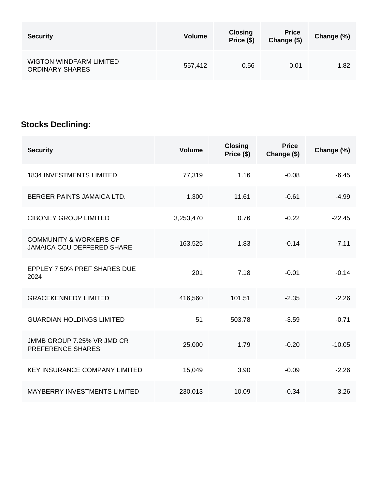| <b>Security</b>                                          | <b>Volume</b> | <b>Closing</b><br>Price (\$) | <b>Price</b><br>Change (\$) | Change (%) |
|----------------------------------------------------------|---------------|------------------------------|-----------------------------|------------|
| <b>WIGTON WINDFARM LIMITED</b><br><b>ORDINARY SHARES</b> | 557,412       | 0.56                         | 0.01                        | 1.82       |

## **Stocks Declining:**

| <b>Security</b>                                                        | <b>Volume</b> | <b>Closing</b><br>Price (\$) | <b>Price</b><br>Change (\$) | Change (%) |
|------------------------------------------------------------------------|---------------|------------------------------|-----------------------------|------------|
| <b>1834 INVESTMENTS LIMITED</b>                                        | 77,319        | 1.16                         | $-0.08$                     | $-6.45$    |
| BERGER PAINTS JAMAICA LTD.                                             | 1,300         | 11.61                        | $-0.61$                     | $-4.99$    |
| <b>CIBONEY GROUP LIMITED</b>                                           | 3,253,470     | 0.76                         | $-0.22$                     | $-22.45$   |
| <b>COMMUNITY &amp; WORKERS OF</b><br><b>JAMAICA CCU DEFFERED SHARE</b> | 163,525       | 1.83                         | $-0.14$                     | $-7.11$    |
| EPPLEY 7.50% PREF SHARES DUE<br>2024                                   | 201           | 7.18                         | $-0.01$                     | $-0.14$    |
| <b>GRACEKENNEDY LIMITED</b>                                            | 416,560       | 101.51                       | $-2.35$                     | $-2.26$    |
| <b>GUARDIAN HOLDINGS LIMITED</b>                                       | 51            | 503.78                       | $-3.59$                     | $-0.71$    |
| JMMB GROUP 7.25% VR JMD CR<br>PREFERENCE SHARES                        | 25,000        | 1.79                         | $-0.20$                     | $-10.05$   |
| <b>KEY INSURANCE COMPANY LIMITED</b>                                   | 15,049        | 3.90                         | $-0.09$                     | $-2.26$    |
| <b>MAYBERRY INVESTMENTS LIMITED</b>                                    | 230,013       | 10.09                        | $-0.34$                     | $-3.26$    |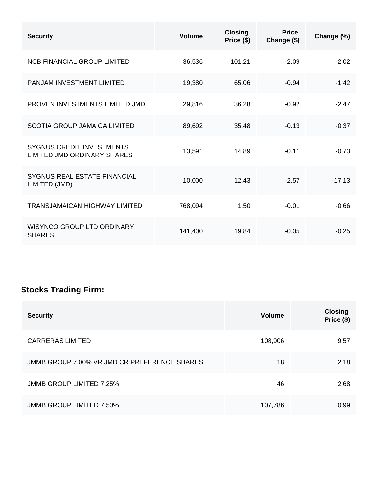| <b>Security</b>                                                        | Volume  | <b>Closing</b><br>Price (\$) | <b>Price</b><br>Change (\$) | Change (%) |
|------------------------------------------------------------------------|---------|------------------------------|-----------------------------|------------|
| <b>NCB FINANCIAL GROUP LIMITED</b>                                     | 36,536  | 101.21                       | $-2.09$                     | $-2.02$    |
| PANJAM INVESTMENT LIMITED                                              | 19,380  | 65.06                        | $-0.94$                     | $-1.42$    |
| PROVEN INVESTMENTS LIMITED JMD                                         | 29,816  | 36.28                        | $-0.92$                     | $-2.47$    |
| <b>SCOTIA GROUP JAMAICA LIMITED</b>                                    | 89,692  | 35.48                        | $-0.13$                     | $-0.37$    |
| <b>SYGNUS CREDIT INVESTMENTS</b><br><b>LIMITED JMD ORDINARY SHARES</b> | 13,591  | 14.89                        | $-0.11$                     | $-0.73$    |
| SYGNUS REAL ESTATE FINANCIAL<br>LIMITED (JMD)                          | 10,000  | 12.43                        | $-2.57$                     | $-17.13$   |
| <b>TRANSJAMAICAN HIGHWAY LIMITED</b>                                   | 768,094 | 1.50                         | $-0.01$                     | $-0.66$    |
| <b>WISYNCO GROUP LTD ORDINARY</b><br><b>SHARES</b>                     | 141,400 | 19.84                        | $-0.05$                     | $-0.25$    |

## **Stocks Trading Firm:**

| <b>Security</b>                              | <b>Volume</b> | <b>Closing</b><br>Price (\$) |
|----------------------------------------------|---------------|------------------------------|
| <b>CARRERAS LIMITED</b>                      | 108,906       | 9.57                         |
| JMMB GROUP 7.00% VR JMD CR PREFERENCE SHARES | 18            | 2.18                         |
| <b>JMMB GROUP LIMITED 7.25%</b>              | 46            | 2.68                         |
| <b>JMMB GROUP LIMITED 7.50%</b>              | 107,786       | 0.99                         |